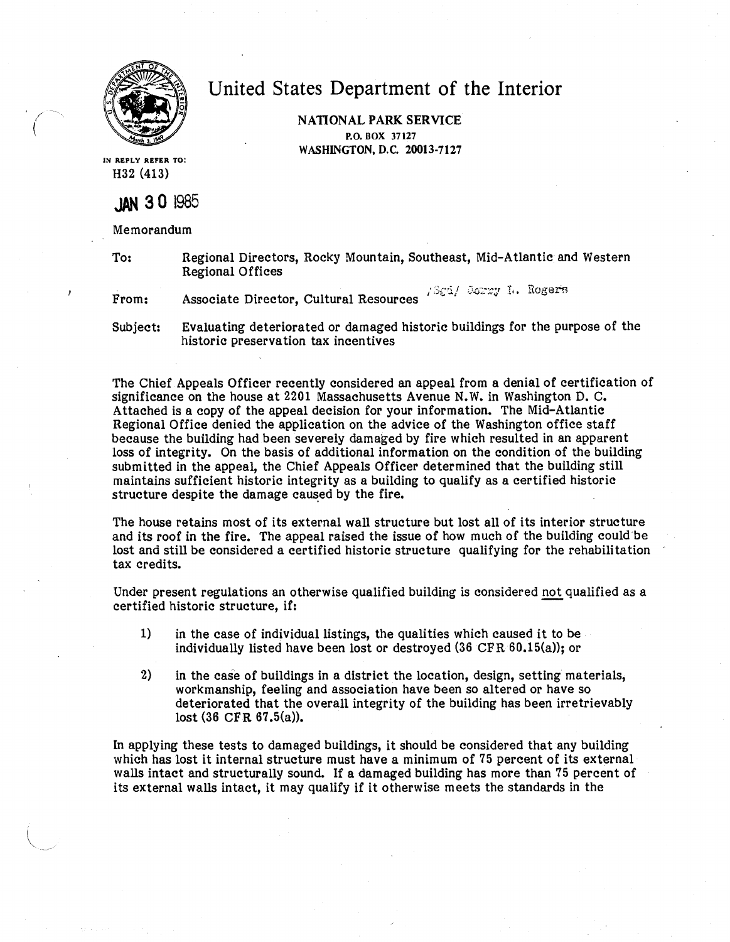

*(* 

United States Department of the Interior

**NATIONAL PARK SERVICE P.O. BOX** 37127 **WASHINGTON, D.C. 20013-7127** 

IN **REPLY REFER** TO: H32 (413)

## **JAN 3 0** <sup>1985</sup>

Memorandum

To: Regional Directors, Rocky Mountain, Southeast, Mid-Atlantic and Western Regional Offices

From: Associate Director, Cultural Resources  $/$  3 $\varepsilon$ i/ Jorry I. Rogers

Subject: Evaluating deteriorated or damaged historic buildings for the purpose of the historic preservation tax incentives

The Chief Appeals Officer recently considered an appeal from a denial of certification of significance on the house at 2201 Massachusetts Avenue N. W. in Washington D. C. Attached is a copy of the appeal decision for your information. The Mid-Atlantic Regional Office denied the application on the advice of the Washington office staff because the building had been severely damaged by fire which resulted in an apparent loss of integrity. On the basis of additional information on the condition of the building submitted in the appeal, the Chief Appeals Officer determined that the building still maintains sufficient historic integrity as a building to qualify as a certified historic structure despite the damage caused by the fire.

The house retains most of its external wall structure but lost all of its interior structure and its roof in the fire. The appeal raised the issue of how much of the building could be lost and still be considered a certified historic structure qualifying for the rehabilitation tax credits.

Under present regulations an otherwise qualified building is considered not qualified as a certified historic structure, if:

- 1) in the case of individual listings, the qualities which caused it to be individually listed have been lost or destroyed (36 CFR 60.15(a)); or
- 2) in the case of buildings in a district the location, design, setting materials, workmanship, feeling and association have been so altered or have so deteriorated that the overall integrity of the building has been irretrievably lost (36 CFR 67.5(a)).

In applying these tests to damaged buildings, it should be considered that any building which has lost it internal structure must have a minimum of  $75$  percent of its external walls intact and structurally sound. If a damaged building has more than 75 percent of its external walls intact, it may qualify if it otherwise meets the standards in the